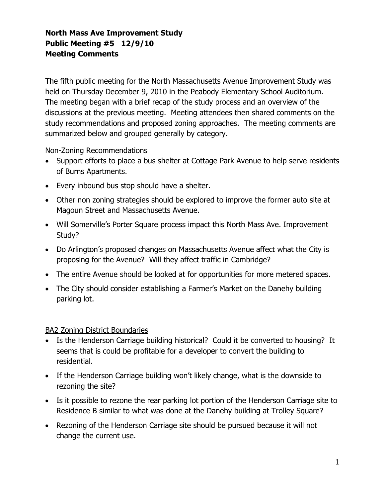## North Mass Ave Improvement Study Public Meeting #5 12/9/10 Meeting Comments

 The fifth public meeting for the North Massachusetts Avenue Improvement Study was held on Thursday December 9, 2010 in the Peabody Elementary School Auditorium. The meeting began with a brief recap of the study process and an overview of the discussions at the previous meeting. Meeting attendees then shared comments on the study recommendations and proposed zoning approaches. The meeting comments are summarized below and grouped generally by category.

Non-Zoning Recommendations

- Support efforts to place a bus shelter at Cottage Park Avenue to help serve residents of Burns Apartments.
- Every inbound bus stop should have a shelter.
- Other non zoning strategies should be explored to improve the former auto site at Magoun Street and Massachusetts Avenue.
- Will Somerville's Porter Square process impact this North Mass Ave. Improvement Study?
- Do Arlington's proposed changes on Massachusetts Avenue affect what the City is proposing for the Avenue? Will they affect traffic in Cambridge?
- The entire Avenue should be looked at for opportunities for more metered spaces.
- The City should consider establishing a Farmer's Market on the Danehy building parking lot.

## BA2 Zoning District Boundaries

- Is the Henderson Carriage building historical? Could it be converted to housing? It seems that is could be profitable for a developer to convert the building to residential.
- If the Henderson Carriage building won't likely change, what is the downside to rezoning the site?
- Is it possible to rezone the rear parking lot portion of the Henderson Carriage site to Residence B similar to what was done at the Danehy building at Trolley Square?
- Rezoning of the Henderson Carriage site should be pursued because it will not change the current use.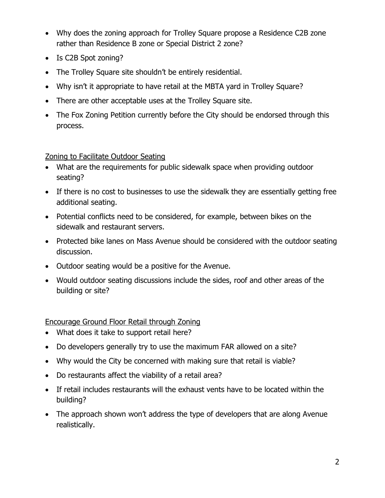- Why does the zoning approach for Trolley Square propose a Residence C2B zone rather than Residence B zone or Special District 2 zone?
- • Is C2B Spot zoning?
- The Trolley Square site shouldn't be entirely residential.
- Why isn't it appropriate to have retail at the MBTA yard in Trolley Square?
- There are other acceptable uses at the Trolley Square site.
- The Fox Zoning Petition currently before the City should be endorsed through this process.

## Zoning to Facilitate Outdoor Seating

- What are the requirements for public sidewalk space when providing outdoor seating?
- If there is no cost to businesses to use the sidewalk they are essentially getting free additional seating.
- Potential conflicts need to be considered, for example, between bikes on the sidewalk and restaurant servers.
- Protected bike lanes on Mass Avenue should be considered with the outdoor seating discussion.
- • Outdoor seating would be a positive for the Avenue.
- Would outdoor seating discussions include the sides, roof and other areas of the building or site?

## Encourage Ground Floor Retail through Zoning

- What does it take to support retail here?
- Do developers generally try to use the maximum FAR allowed on a site?
- Why would the City be concerned with making sure that retail is viable?
- Do restaurants affect the viability of a retail area?
- If retail includes restaurants will the exhaust vents have to be located within the building?
- The approach shown won't address the type of developers that are along Avenue realistically.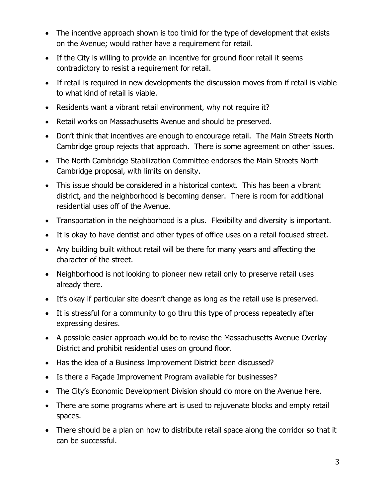- The incentive approach shown is too timid for the type of development that exists on the Avenue; would rather have a requirement for retail.
- If the City is willing to provide an incentive for ground floor retail it seems contradictory to resist a requirement for retail.
- If retail is required in new developments the discussion moves from if retail is viable to what kind of retail is viable.
- Residents want a vibrant retail environment, why not require it?
- Retail works on Massachusetts Avenue and should be preserved.
- Don't think that incentives are enough to encourage retail. The Main Streets North Cambridge group rejects that approach. There is some agreement on other issues.
- The North Cambridge Stabilization Committee endorses the Main Streets North Cambridge proposal, with limits on density.
- This issue should be considered in a historical context. This has been a vibrant district, and the neighborhood is becoming denser. There is room for additional residential uses off of the Avenue.
- Transportation in the neighborhood is a plus. Flexibility and diversity is important.
- It is okay to have dentist and other types of office uses on a retail focused street.
- Any building built without retail will be there for many years and affecting the character of the street.
- Neighborhood is not looking to pioneer new retail only to preserve retail uses already there.
- It's okay if particular site doesn't change as long as the retail use is preserved.
- It is stressful for a community to go thru this type of process repeatedly after expressing desires.
- A possible easier approach would be to revise the Massachusetts Avenue Overlay District and prohibit residential uses on ground floor.
- Has the idea of a Business Improvement District been discussed?
- Is there a Façade Improvement Program available for businesses?
- The City's Economic Development Division should do more on the Avenue here.
- There are some programs where art is used to rejuvenate blocks and empty retail spaces.
- There should be a plan on how to distribute retail space along the corridor so that it can be successful.